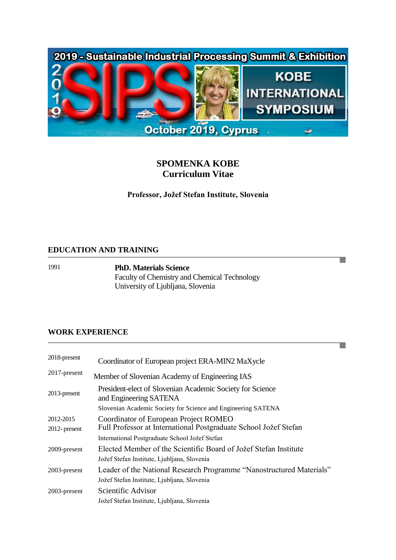

# **SPOMENKA KOBE Curriculum Vitae**

**Professor, Jožef Stefan Institute, Slovenia**

П

T.

#### **EDUCATION AND TRAINING**

1991 **PhD. Materials Science**

Faculty of Chemistry and Chemical Technology University of Ljubljana, Slovenia

## **WORK EXPERIENCE**

| 2018-present                  | Coordinator of European project ERA-MIN2 MaXycle                                                                |  |  |
|-------------------------------|-----------------------------------------------------------------------------------------------------------------|--|--|
| $2017$ -present               | Member of Slovenian Academy of Engineering IAS                                                                  |  |  |
| 2013-present                  | President-elect of Slovenian Academic Society for Science<br>and Engineering SATENA                             |  |  |
|                               | Slovenian Academic Society for Science and Engineering SATENA                                                   |  |  |
| 2012-2015<br>$2012$ - present | Coordinator of European Project ROMEO<br>Full Professor at International Postgraduate School Jožef Stefan       |  |  |
|                               | International Postgraduate School Jožef Stefan                                                                  |  |  |
| 2009-present                  | Elected Member of the Scientific Board of Jožef Stefan Institute<br>Jožef Stefan Institute, Ljubljana, Slovenia |  |  |
| 2003-present                  | Leader of the National Research Programme "Nanostructured Materials"                                            |  |  |
|                               | Jožef Stefan Institute, Ljubljana, Slovenia                                                                     |  |  |
| 2003-present                  | Scientific Advisor                                                                                              |  |  |
|                               | Jožef Stefan Institute, Ljubljana, Slovenia                                                                     |  |  |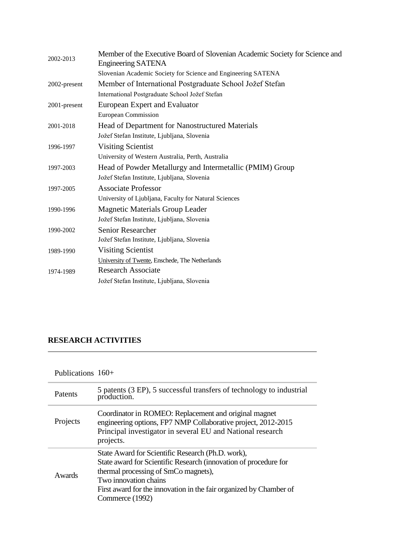| Member of the Executive Board of Slovenian Academic Society for Science and<br>Engineering SATENA |
|---------------------------------------------------------------------------------------------------|
| Slovenian Academic Society for Science and Engineering SATENA                                     |
| Member of International Postgraduate School Jožef Stefan                                          |
| International Postgraduate School Jožef Stefan                                                    |
| European Expert and Evaluator                                                                     |
| <b>European Commission</b>                                                                        |
| Head of Department for Nanostructured Materials                                                   |
| Jožef Stefan Institute, Ljubljana, Slovenia                                                       |
| <b>Visiting Scientist</b>                                                                         |
| University of Western Australia, Perth, Australia                                                 |
| Head of Powder Metallurgy and Intermetallic (PMIM) Group                                          |
| Jožef Stefan Institute, Ljubljana, Slovenia                                                       |
| <b>Associate Professor</b>                                                                        |
| University of Ljubljana, Faculty for Natural Sciences                                             |
| <b>Magnetic Materials Group Leader</b>                                                            |
| Jožef Stefan Institute, Ljubljana, Slovenia                                                       |
| <b>Senior Researcher</b>                                                                          |
| Jožef Stefan Institute, Ljubljana, Slovenia                                                       |
| <b>Visiting Scientist</b>                                                                         |
| University of Twente, Enschede, The Netherlands                                                   |
| <b>Research Associate</b>                                                                         |
| Jožef Stefan Institute, Ljubljana, Slovenia                                                       |
|                                                                                                   |

# **RESEARCH ACTIVITIES**

| Publications $160+$ |  |
|---------------------|--|
|---------------------|--|

| Patents  | 5 patents (3 EP), 5 successful transfers of technology to industrial<br>production.                                                                                                                                                                                             |
|----------|---------------------------------------------------------------------------------------------------------------------------------------------------------------------------------------------------------------------------------------------------------------------------------|
| Projects | Coordinator in ROMEO: Replacement and original magnet<br>engineering options, FP7 NMP Collaborative project, 2012-2015<br>Principal investigator in several EU and National research<br>projects.                                                                               |
| Awards   | State Award for Scientific Research (Ph.D. work),<br>State award for Scientific Research (innovation of procedure for<br>thermal processing of SmCo magnets),<br>Two innovation chains<br>First award for the innovation in the fair organized by Chamber of<br>Commerce (1992) |